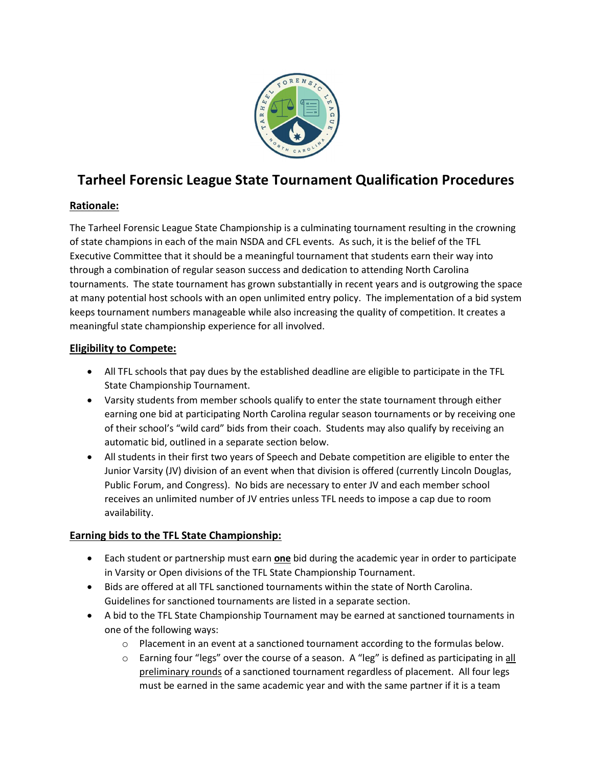

# Tarheel Forensic League State Tournament Qualification Procedures

# Rationale:

The Tarheel Forensic League State Championship is a culminating tournament resulting in the crowning of state champions in each of the main NSDA and CFL events. As such, it is the belief of the TFL Executive Committee that it should be a meaningful tournament that students earn their way into through a combination of regular season success and dedication to attending North Carolina tournaments. The state tournament has grown substantially in recent years and is outgrowing the space at many potential host schools with an open unlimited entry policy. The implementation of a bid system keeps tournament numbers manageable while also increasing the quality of competition. It creates a meaningful state championship experience for all involved.

## Eligibility to Compete:

- All TFL schools that pay dues by the established deadline are eligible to participate in the TFL State Championship Tournament.
- Varsity students from member schools qualify to enter the state tournament through either earning one bid at participating North Carolina regular season tournaments or by receiving one of their school's "wild card" bids from their coach. Students may also qualify by receiving an automatic bid, outlined in a separate section below.
- All students in their first two years of Speech and Debate competition are eligible to enter the Junior Varsity (JV) division of an event when that division is offered (currently Lincoln Douglas, Public Forum, and Congress). No bids are necessary to enter JV and each member school receives an unlimited number of JV entries unless TFL needs to impose a cap due to room availability.

# Earning bids to the TFL State Championship:

- Each student or partnership must earn **one** bid during the academic year in order to participate in Varsity or Open divisions of the TFL State Championship Tournament.
- Bids are offered at all TFL sanctioned tournaments within the state of North Carolina. Guidelines for sanctioned tournaments are listed in a separate section.
- A bid to the TFL State Championship Tournament may be earned at sanctioned tournaments in one of the following ways:
	- $\circ$  Placement in an event at a sanctioned tournament according to the formulas below.
	- $\circ$  Earning four "legs" over the course of a season. A "leg" is defined as participating in all preliminary rounds of a sanctioned tournament regardless of placement. All four legs must be earned in the same academic year and with the same partner if it is a team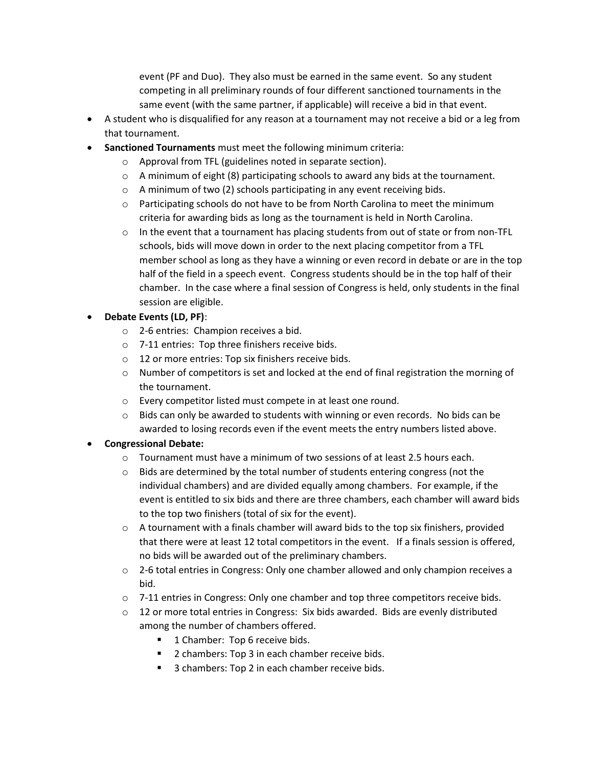event (PF and Duo). They also must be earned in the same event. So any student competing in all preliminary rounds of four different sanctioned tournaments in the same event (with the same partner, if applicable) will receive a bid in that event.

- A student who is disqualified for any reason at a tournament may not receive a bid or a leg from that tournament.
- Sanctioned Tournaments must meet the following minimum criteria:
	- o Approval from TFL (guidelines noted in separate section).
	- $\circ$  A minimum of eight (8) participating schools to award any bids at the tournament.
	- o A minimum of two (2) schools participating in any event receiving bids.
	- $\circ$  Participating schools do not have to be from North Carolina to meet the minimum criteria for awarding bids as long as the tournament is held in North Carolina.
	- $\circ$  In the event that a tournament has placing students from out of state or from non-TFL schools, bids will move down in order to the next placing competitor from a TFL member school as long as they have a winning or even record in debate or are in the top half of the field in a speech event. Congress students should be in the top half of their chamber. In the case where a final session of Congress is held, only students in the final session are eligible.

### Debate Events (LD, PF):

- o 2-6 entries: Champion receives a bid.
- o 7-11 entries: Top three finishers receive bids.
- o 12 or more entries: Top six finishers receive bids.
- $\circ$  Number of competitors is set and locked at the end of final registration the morning of the tournament.
- o Every competitor listed must compete in at least one round.
- $\circ$  Bids can only be awarded to students with winning or even records. No bids can be awarded to losing records even if the event meets the entry numbers listed above.

#### Congressional Debate:

- $\circ$  Tournament must have a minimum of two sessions of at least 2.5 hours each.
- o Bids are determined by the total number of students entering congress (not the individual chambers) and are divided equally among chambers. For example, if the event is entitled to six bids and there are three chambers, each chamber will award bids to the top two finishers (total of six for the event).
- $\circ$  A tournament with a finals chamber will award bids to the top six finishers, provided that there were at least 12 total competitors in the event. If a finals session is offered, no bids will be awarded out of the preliminary chambers.
- $\circ$  2-6 total entries in Congress: Only one chamber allowed and only champion receives a bid.
- $\circ$  7-11 entries in Congress: Only one chamber and top three competitors receive bids.
- $\circ$  12 or more total entries in Congress: Six bids awarded. Bids are evenly distributed among the number of chambers offered.
	- 1 Chamber: Top 6 receive bids.
	- 2 chambers: Top 3 in each chamber receive bids.
	- 3 chambers: Top 2 in each chamber receive bids.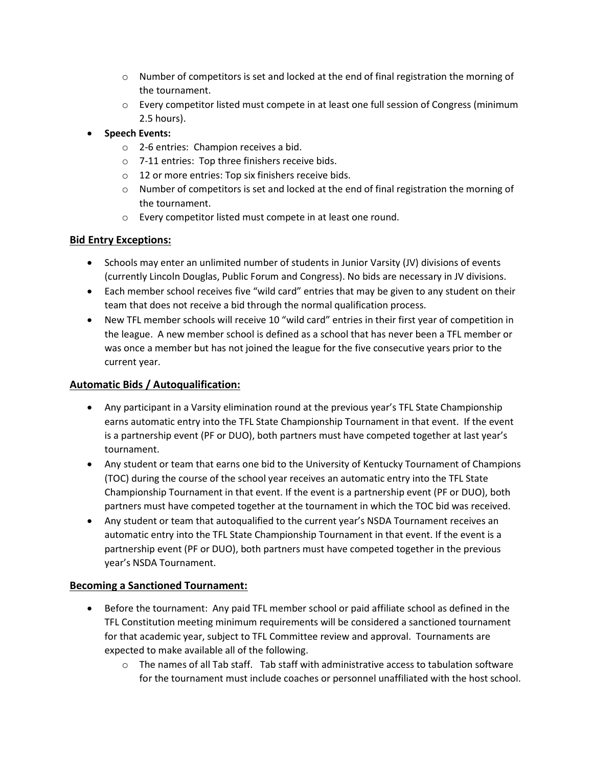- $\circ$  Number of competitors is set and locked at the end of final registration the morning of the tournament.
- o Every competitor listed must compete in at least one full session of Congress (minimum 2.5 hours).
- Speech Events:
	- o 2-6 entries: Champion receives a bid.
	- o 7-11 entries: Top three finishers receive bids.
	- o 12 or more entries: Top six finishers receive bids.
	- $\circ$  Number of competitors is set and locked at the end of final registration the morning of the tournament.
	- o Every competitor listed must compete in at least one round.

## Bid Entry Exceptions:

- Schools may enter an unlimited number of students in Junior Varsity (JV) divisions of events (currently Lincoln Douglas, Public Forum and Congress). No bids are necessary in JV divisions.
- Each member school receives five "wild card" entries that may be given to any student on their team that does not receive a bid through the normal qualification process.
- New TFL member schools will receive 10 "wild card" entries in their first year of competition in the league. A new member school is defined as a school that has never been a TFL member or was once a member but has not joined the league for the five consecutive years prior to the current year.

## Automatic Bids / Autoqualification:

- Any participant in a Varsity elimination round at the previous year's TFL State Championship earns automatic entry into the TFL State Championship Tournament in that event. If the event is a partnership event (PF or DUO), both partners must have competed together at last year's tournament.
- Any student or team that earns one bid to the University of Kentucky Tournament of Champions (TOC) during the course of the school year receives an automatic entry into the TFL State Championship Tournament in that event. If the event is a partnership event (PF or DUO), both partners must have competed together at the tournament in which the TOC bid was received.
- Any student or team that autoqualified to the current year's NSDA Tournament receives an automatic entry into the TFL State Championship Tournament in that event. If the event is a partnership event (PF or DUO), both partners must have competed together in the previous year's NSDA Tournament.

# Becoming a Sanctioned Tournament:

- Before the tournament: Any paid TFL member school or paid affiliate school as defined in the TFL Constitution meeting minimum requirements will be considered a sanctioned tournament for that academic year, subject to TFL Committee review and approval. Tournaments are expected to make available all of the following.
	- $\circ$  The names of all Tab staff. Tab staff with administrative access to tabulation software for the tournament must include coaches or personnel unaffiliated with the host school.